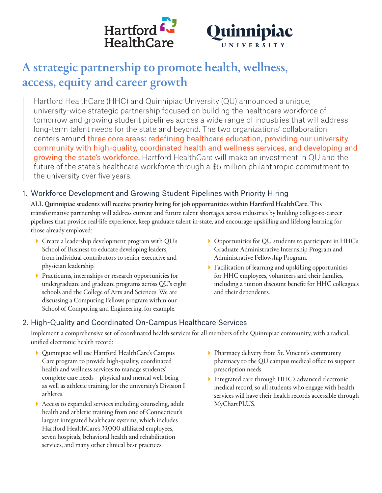



# A strategic partnership to promote health, wellness, access, equity and career growth

Hartford HealthCare (HHC) and Quinnipiac University (QU) announced a unique, university-wide strategic partnership focused on building the healthcare workforce of tomorrow and growing student pipelines across a wide range of industries that will address long-term talent needs for the state and beyond. The two organizations' collaboration centers around three core areas: redefining healthcare education, providing our university community with high-quality, coordinated health and wellness services, and developing and growing the state's workforce. Hartford HealthCare will make an investment in QU and the future of the state's healthcare workforce through a \$5 million philanthropic commitment to the university over five years.

# 1. Workforce Development and Growing Student Pipelines with Priority Hiring

ALL Quinnipiac students will receive priority hiring for job opportunities within Hartford HealthCare. This transformative partnership will address current and future talent shortages across industries by building college-to-career pipelines that provide real-life experience, keep graduate talent in-state, and encourage upskilling and lifelong learning for those already employed:

- $\blacktriangleright$  Create a leadership development program with QU's School of Business to educate developing leaders, from individual contributors to senior executive and physician leadership.
- **Practicums, internships or research opportunities for** undergraduate and graduate programs across QU's eight schools and the College of Arts and Sciences. We are discussing a Computing Fellows program within our School of Computing and Engineering, for example.
- $\blacktriangleright$  Opportunities for QU students to participate in HHC's Graduate Administrative Internship Program and Administrative Fellowship Program.
- Facilitation of learning and upskilling opportunities for HHC employees, volunteers and their families, including a tuition discount benefit for HHC colleagues and their dependents.

# 2. High-Quality and Coordinated On-Campus Healthcare Services

Implement a comprehensive set of coordinated health services for all members of the Quinnipiac community, with a radical, unified electronic health record:

- Quinnipiac will use Hartford HealthCare's Campus Care program to provide high-quality, coordinated health and wellness services to manage students' complete care needs – physical and mental well-being as well as athletic training for the university's Division I athletes.
- Access to expanded services including counseling, adult health and athletic training from one of Connecticut's largest integrated healthcare systems, which includes Hartford HealthCare's 33,000 affiliated employees, seven hospitals, behavioral health and rehabilitation services, and many other clinical best practices.
- Pharmacy delivery from St. Vincent's community pharmacy to the QU campus medical office to support prescription needs.
- Integrated care through HHC's advanced electronic medical record, so all students who engage with health services will have their health records accessible through MyChartPLUS.